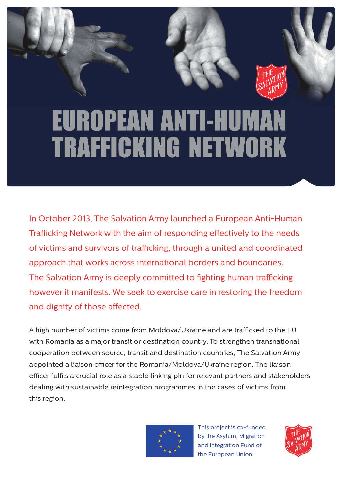## **EUROPEAN ANTI-HUMAN TRAFFICKING NETWORK**

In October 2013, The Salvation Army launched a European Anti-Human Trafficking Network with the aim of responding effectively to the needs of victims and survivors of trafficking, through a united and coordinated approach that works across international borders and boundaries. The Salvation Army is deeply committed to fighting human trafficking however it manifests. We seek to exercise care in restoring the freedom and dignity of those affected.

A high number of victims come from Moldova/Ukraine and are trafficked to the FU with Romania as a major transit or destination country. To strengthen transnational cooperation between source, transit and destination countries, The Salvation Army appointed a liaison officer for the Romania/Moldova/Ukraine region. The liaison officer fulfils a crucial role as a stable linking pin for relevant partners and stakeholders dealing with sustainable reintegration programmes in the cases of victims from this region.



This project is co-funded by the Asylum, Migration and Integration Fund of the European Union